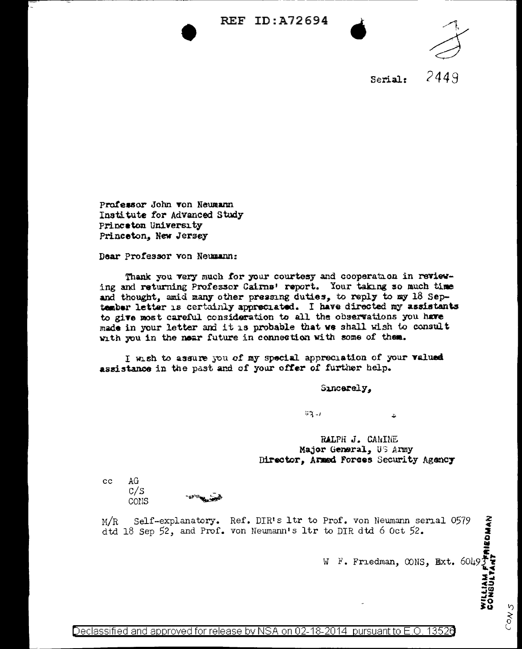





2449 Serial:

Professor John von Neumann Institute for Advanced Study Princeton University Princeton, New Jersey

Dear Professor von Neumann:

Thank you very much for your courtesy and cooperation in reviewing and returning Professor Cairns' report. Your taking so much time and thought, amid many other pressing duties, to reply to my 18 September letter is certainly appreciated. I have directed my assistants to give most careful consideration to all the observations you have made in your letter and it is probable that we shall wish to consult with you in the near future in connection with some of them.

I wish to assure you of my special appreciation of your valued assistance in the past and of your offer of further help.

Suncerely,

 $41 - 1$ 

RALPH J. CANINE Major General, US Army Director, Armed Forces Security Agency

 $cc$ AG  $C/S$ CONS

Prof. von Neumann serial 0579<br>to DIR dtd 6 Oct 52.<br>W F. Friedman, CONS, Ext. 6049 Self-explanatory. Ref. DIR's ltr to Prof. von Neumann serial 0579  $M/R$ dtd 18 Sep 52, and Prof. von Neumann's ltr to DIR dtd 6 Oct 52.

Ł.

ŋ  $\zeta$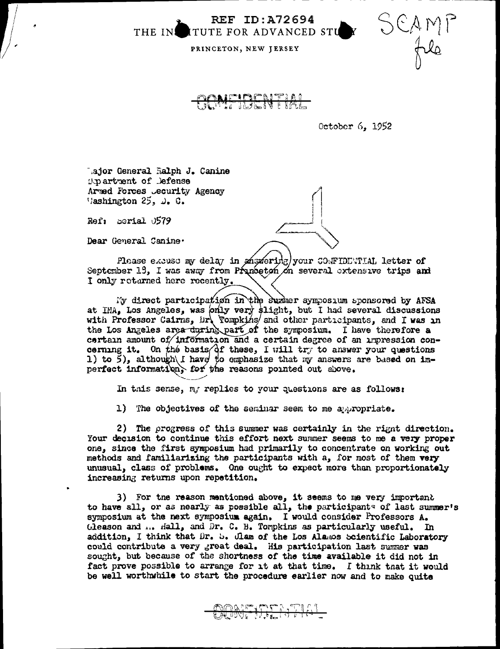**REF ID:A72694** THE IN ITUTE FOR ADVANCED STU

PRINCETON, NEW JERSEY

October 6, 1952

SCAMI

Lajor General Ralph J. Canine Opertment of Defense Armed Forces Jecurity Agency Washington  $25$ ,  $\omega$ . C.

Ref: berial 0579

Dear General Canine.

Please excuse my delay in answeridg) your CONFIDENTIAL letter of September 13, I was away from Prunceton on several extensive trips and I only rotarned here recently.

My direct participation in the summer symposium sponsored by AFSA at IMA, Los Angeles, was only very slight, but I had several discussions with Professor Cairns, Dr. Tompkins, and other participants, and I was in the Los Angeles area during part of the symposium. I have therefore a certain amount of information and a certain degree of an impression concerning it. On the basis of these, I will try to answer your questions 1) to 5), although I have to emphasize that my answers are based on imperfect information, for the reasons pointed out above.

In this sense, my replies to your questions are as follows:

1) The objectives of the seminar seem to me appropriate.

2) The progress of this summer was certainly in the right direction. Your decision to continue this effort next summer seems to me a very proper one, since the first symposium had primarily to concentrate on working out methods and familiarizing the participants with a, for most of them very unusual, class of problems. One ought to expect more than proportionately increasing returns upon repetition.

3) For the reason mentioned above, it seems to me very important to have all, or as nearly as possible all, the participants of last summer's symposium at the next symposium again. I would consider Professors A. Gleason and ... Hall, and Dr. C. B. Tompkins as particularly useful. In addition, I think that Dr. b. Clam of the Los Alamos Scientific Laboratory could contribute a very great deal. His participation last summer was sought, but because of the shortness of the time available it did not in fact prove possible to arrange for it at that time. I think that it would be well worthwhile to start the procedure earlier now and to make quite